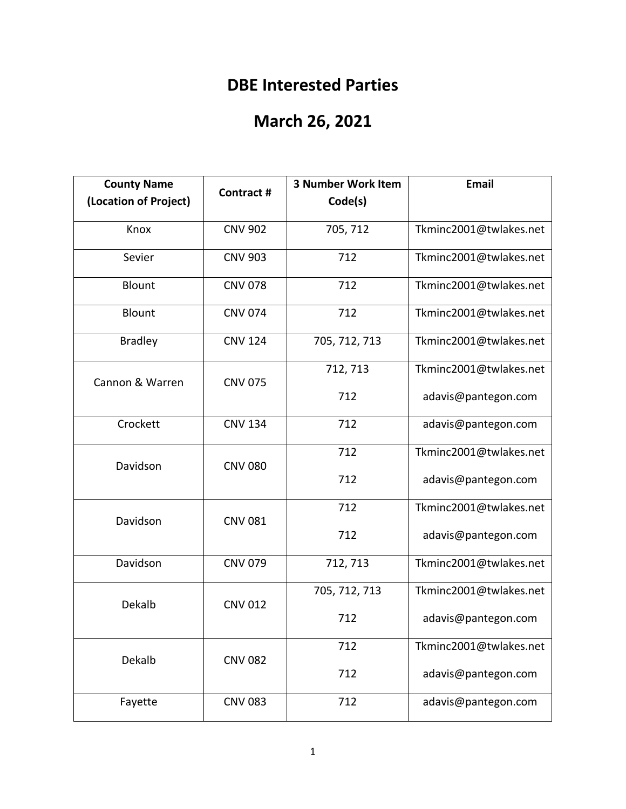## **DBE Interested Parties**

## **March 26, 2021**

| <b>County Name</b>    | <b>Contract #</b> | <b>3 Number Work Item</b> | <b>Email</b>           |
|-----------------------|-------------------|---------------------------|------------------------|
| (Location of Project) |                   | Code(s)                   |                        |
| Knox                  | <b>CNV 902</b>    | 705, 712                  | Tkminc2001@twlakes.net |
| Sevier                | <b>CNV 903</b>    | 712                       | Tkminc2001@twlakes.net |
| <b>Blount</b>         | <b>CNV 078</b>    | 712                       | Tkminc2001@twlakes.net |
| Blount                | <b>CNV 074</b>    | 712                       | Tkminc2001@twlakes.net |
| <b>Bradley</b>        | <b>CNV 124</b>    | 705, 712, 713             | Tkminc2001@twlakes.net |
| Cannon & Warren       | <b>CNV 075</b>    | 712, 713                  | Tkminc2001@twlakes.net |
|                       |                   | 712                       | adavis@pantegon.com    |
| Crockett              | <b>CNV 134</b>    | 712                       | adavis@pantegon.com    |
| Davidson              | <b>CNV 080</b>    | 712                       | Tkminc2001@twlakes.net |
|                       |                   | 712                       | adavis@pantegon.com    |
| Davidson              | <b>CNV 081</b>    | 712                       | Tkminc2001@twlakes.net |
|                       |                   | 712                       | adavis@pantegon.com    |
| Davidson              | <b>CNV 079</b>    | 712, 713                  | Tkminc2001@twlakes.net |
| Dekalb                | <b>CNV 012</b>    | 705, 712, 713             | Tkminc2001@twlakes.net |
|                       |                   | 712                       | adavis@pantegon.com    |
| Dekalb                | <b>CNV 082</b>    | 712                       | Tkminc2001@twlakes.net |
|                       |                   | 712                       | adavis@pantegon.com    |
| Fayette               | <b>CNV 083</b>    | 712                       | adavis@pantegon.com    |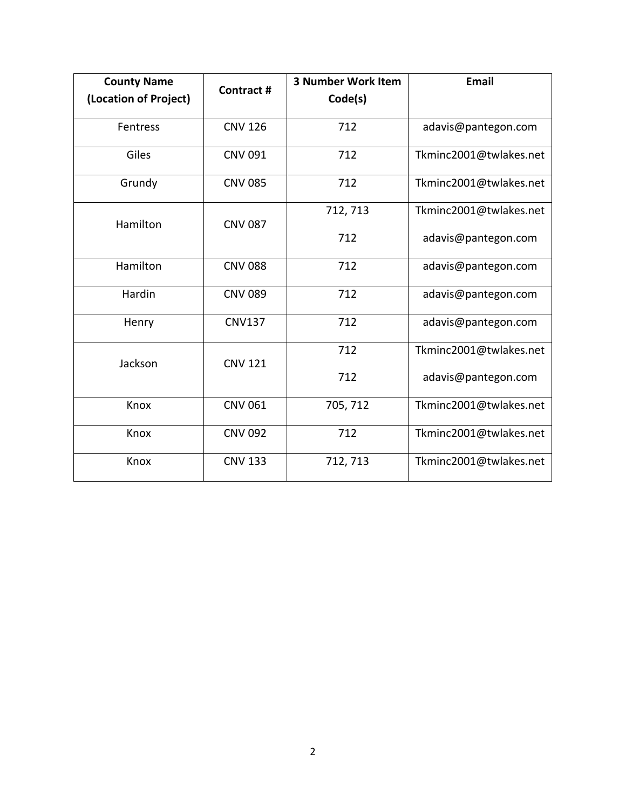| <b>County Name</b>    | Contract #     | <b>3 Number Work Item</b> | <b>Email</b>           |
|-----------------------|----------------|---------------------------|------------------------|
| (Location of Project) |                | Code(s)                   |                        |
| Fentress              | <b>CNV 126</b> | 712                       | adavis@pantegon.com    |
| Giles                 | <b>CNV 091</b> | 712                       | Tkminc2001@twlakes.net |
| Grundy                | <b>CNV 085</b> | 712                       | Tkminc2001@twlakes.net |
| Hamilton              | <b>CNV 087</b> | 712, 713                  | Tkminc2001@twlakes.net |
|                       |                | 712                       | adavis@pantegon.com    |
| Hamilton              | <b>CNV 088</b> | 712                       | adavis@pantegon.com    |
| Hardin                | <b>CNV 089</b> | 712                       | adavis@pantegon.com    |
| Henry                 | <b>CNV137</b>  | 712                       | adavis@pantegon.com    |
| Jackson               | <b>CNV 121</b> | 712                       | Tkminc2001@twlakes.net |
|                       |                | 712                       | adavis@pantegon.com    |
| Knox                  | <b>CNV 061</b> | 705, 712                  | Tkminc2001@twlakes.net |
| Knox                  | <b>CNV 092</b> | 712                       | Tkminc2001@twlakes.net |
| Knox                  | <b>CNV 133</b> | 712, 713                  | Tkminc2001@twlakes.net |